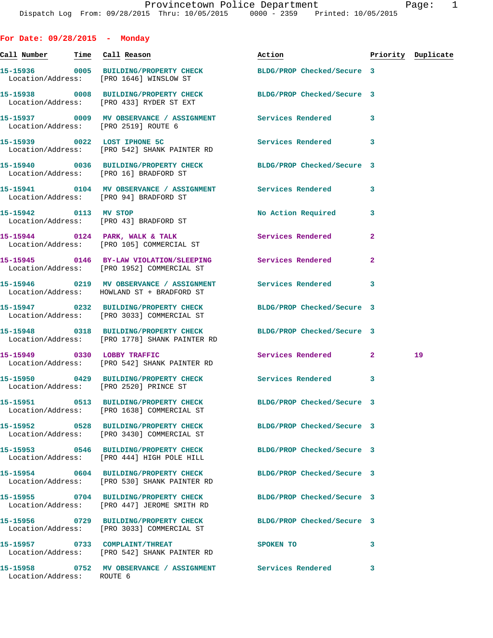**For Date: 09/28/2015 - Monday**

| Call Number Time Call Reason |                                                                                                                | Action                     |              | Priority Duplicate |
|------------------------------|----------------------------------------------------------------------------------------------------------------|----------------------------|--------------|--------------------|
|                              | 15-15936 0005 BUILDING/PROPERTY CHECK BLDG/PROP Checked/Secure 3<br>Location/Address: [PRO 1646] WINSLOW ST    |                            |              |                    |
|                              | 15-15938 0008 BUILDING/PROPERTY CHECK BLDG/PROP Checked/Secure 3<br>Location/Address: [PRO 433] RYDER ST EXT   |                            |              |                    |
|                              | 15-15937 0009 MV OBSERVANCE / ASSIGNMENT Services Rendered<br>Location/Address: [PRO 2519] ROUTE 6             |                            | 3            |                    |
|                              | 15-15939 0022 LOST IPHONE 5C<br>Location/Address: [PRO 542] SHANK PAINTER RD                                   | <b>Services Rendered</b>   | 3            |                    |
|                              | 15-15940 0036 BUILDING/PROPERTY CHECK BLDG/PROP Checked/Secure 3<br>Location/Address: [PRO 16] BRADFORD ST     |                            |              |                    |
|                              | 15-15941 0104 MV OBSERVANCE / ASSIGNMENT Services Rendered<br>Location/Address: [PRO 94] BRADFORD ST           |                            | 3            |                    |
|                              | 15-15942 0113 MV STOP<br>Location/Address: [PRO 43] BRADFORD ST                                                | No Action Required         | 3            |                    |
|                              | 15-15944 0124 PARK, WALK & TALK<br>Location/Address: [PRO 105] COMMERCIAL ST                                   | Services Rendered          | $\mathbf{2}$ |                    |
|                              | 15-15945 0146 BY-LAW VIOLATION/SLEEPING Services Rendered<br>Location/Address: [PRO 1952] COMMERCIAL ST        |                            | $\mathbf{2}$ |                    |
|                              | 15-15946 0219 MV OBSERVANCE / ASSIGNMENT Services Rendered<br>Location/Address: HOWLAND ST + BRADFORD ST       |                            | 3            |                    |
|                              | 15-15947 0232 BUILDING/PROPERTY CHECK<br>Location/Address: [PRO 3033] COMMERCIAL ST                            | BLDG/PROP Checked/Secure 3 |              |                    |
|                              | 15-15948 0318 BUILDING/PROPERTY CHECK<br>Location/Address: [PRO 1778] SHANK PAINTER RD                         | BLDG/PROP Checked/Secure 3 |              |                    |
|                              | 15-15949 0330 LOBBY TRAFFIC<br>Location/Address: [PRO 542] SHANK PAINTER RD                                    | Services Rendered          | $\mathbf{2}$ | 19                 |
|                              | 15-15950 0429 BUILDING/PROPERTY CHECK<br>Location/Address: [PRO 2520] PRINCE ST                                | Services Rendered          | 3            |                    |
|                              | 15-15951 0513 BUILDING/PROPERTY CHECK BLDG/PROP Checked/Secure 3<br>Location/Address: [PRO 1638] COMMERCIAL ST |                            |              |                    |
|                              | 15-15952 0528 BUILDING/PROPERTY CHECK<br>Location/Address: [PRO 3430] COMMERCIAL ST                            | BLDG/PROP Checked/Secure 3 |              |                    |
|                              | 15-15953 0546 BUILDING/PROPERTY CHECK<br>Location/Address: [PRO 444] HIGH POLE HILL                            | BLDG/PROP Checked/Secure 3 |              |                    |
|                              | 15-15954 0604 BUILDING/PROPERTY CHECK<br>Location/Address: [PRO 530] SHANK PAINTER RD                          | BLDG/PROP Checked/Secure 3 |              |                    |
|                              | 15-15955 0704 BUILDING/PROPERTY CHECK<br>Location/Address: [PRO 447] JEROME SMITH RD                           | BLDG/PROP Checked/Secure 3 |              |                    |
|                              | 15-15956 0729 BUILDING/PROPERTY CHECK BLDG/PROP Checked/Secure 3<br>Location/Address: [PRO 3033] COMMERCIAL ST |                            |              |                    |
|                              | 15-15957 0733 COMPLAINT/THREAT<br>Location/Address: [PRO 542] SHANK PAINTER RD                                 | SPOKEN TO                  | 3            |                    |
| Location/Address: ROUTE 6    | 15-15958 0752 MV OBSERVANCE / ASSIGNMENT Services Rendered                                                     |                            | 3            |                    |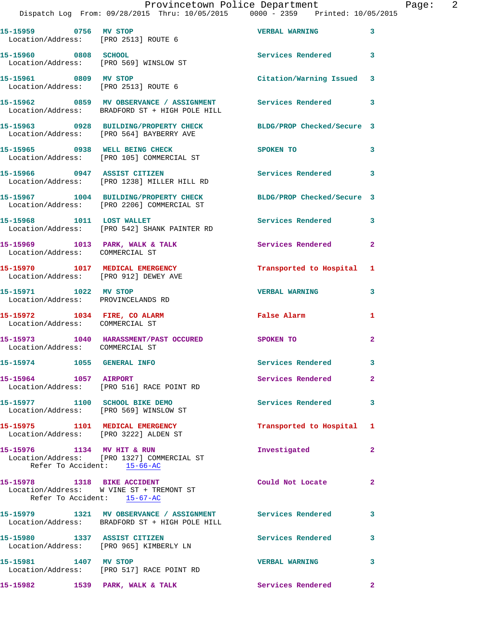| 15-15959 0756 MV STOP                                           | Location/Address: [PRO 2513] ROUTE 6                                                                           | <b>VERBAL WARNING</b>      | 3                          |
|-----------------------------------------------------------------|----------------------------------------------------------------------------------------------------------------|----------------------------|----------------------------|
| 15-15960 0808 SCHOOL                                            | Location/Address: [PRO 569] WINSLOW ST                                                                         | Services Rendered 3        |                            |
| 15-15961 0809 MV STOP                                           | Location/Address: [PRO 2513] ROUTE 6                                                                           | Citation/Warning Issued 3  |                            |
|                                                                 | 15-15962 0859 MV OBSERVANCE / ASSIGNMENT<br>Location/Address: BRADFORD ST + HIGH POLE HILL                     | Services Rendered 3        |                            |
|                                                                 | 15-15963 0928 BUILDING/PROPERTY CHECK<br>Location/Address: [PRO 564] BAYBERRY AVE                              | BLDG/PROP Checked/Secure 3 |                            |
|                                                                 | 15-15965 0938 WELL BEING CHECK<br>Location/Address: [PRO 105] COMMERCIAL ST                                    | SPOKEN TO                  | 3                          |
|                                                                 | 15-15966 0947 ASSIST CITIZEN<br>Location/Address: [PRO 1238] MILLER HILL RD                                    | Services Rendered          | $\overline{\phantom{a}}$ 3 |
|                                                                 | 15-15967 1004 BUILDING/PROPERTY CHECK<br>Location/Address: [PRO 2206] COMMERCIAL ST                            | BLDG/PROP Checked/Secure 3 |                            |
| 15-15968 1011 LOST WALLET                                       | Location/Address: [PRO 542] SHANK PAINTER RD                                                                   | Services Rendered 3        |                            |
| Location/Address: COMMERCIAL ST                                 | 15-15969 1013 PARK, WALK & TALK                                                                                | Services Rendered          | $\mathbf{2}$               |
|                                                                 | 15-15970 1017 MEDICAL EMERGENCY<br>Location/Address: [PRO 912] DEWEY AVE                                       | Transported to Hospital 1  |                            |
| 15-15971 1022 MV STOP<br>Location/Address: PROVINCELANDS RD     |                                                                                                                | <b>VERBAL WARNING</b>      | 3                          |
| 15-15972 1034 FIRE, CO ALARM<br>Location/Address: COMMERCIAL ST |                                                                                                                | False Alarm                | 1                          |
| Location/Address: COMMERCIAL ST                                 | 15-15973 1040 HARASSMENT/PAST OCCURED                                                                          | SPOKEN TO                  | $\mathbf{2}$               |
| 15-15974 1055 GENERAL INFO                                      |                                                                                                                | Services Rendered          | $\overline{\mathbf{3}}$    |
| 15-15964                                                        | 1057 AIRPORT<br>Location/Address: [PRO 516] RACE POINT RD                                                      | Services Rendered          | 2                          |
|                                                                 | 15-15977 1100 SCHOOL BIKE DEMO<br>Location/Address: [PRO 569] WINSLOW ST                                       | Services Rendered 3        |                            |
|                                                                 | 15-15975 1101 MEDICAL EMERGENCY<br>Location/Address: [PRO 3222] ALDEN ST                                       | Transported to Hospital 1  |                            |
|                                                                 | 15-15976 1134 MV HIT & RUN<br>Location/Address: [PRO 1327] COMMERCIAL ST<br>Refer To Accident: 15-66-AC        | Investigated               | $\mathbf{2}$               |
|                                                                 | 15-15978 1318 BIKE ACCIDENT<br>Location/Address: W VINE ST + TREMONT ST<br>Refer To Accident: 15-67-AC         | Could Not Locate           | $\mathbf{2}$               |
|                                                                 | 15-15979 1321 MV OBSERVANCE / ASSIGNMENT Services Rendered 3<br>Location/Address: BRADFORD ST + HIGH POLE HILL |                            |                            |
| 15-15980 1337 ASSIST CITIZEN                                    | Location/Address: [PRO 965] KIMBERLY LN                                                                        | Services Rendered          | 3                          |
| 15-15981 1407 MV STOP                                           | Location/Address: [PRO 517] RACE POINT RD                                                                      | <b>VERBAL WARNING</b>      | $\overline{\mathbf{3}}$    |
|                                                                 | 15-15982 1539 PARK, WALK & TALK                                                                                | <b>Services Rendered</b> 2 |                            |
|                                                                 |                                                                                                                |                            |                            |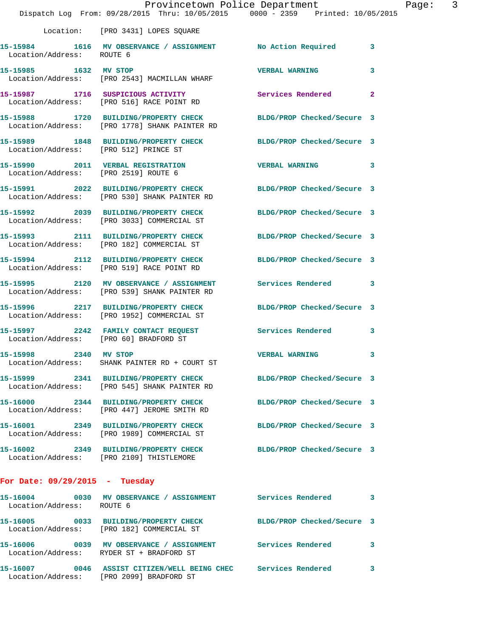|                                       | Dispatch Log From: 09/28/2015 Thru: 10/05/2015 0000 - 2359 Printed: 10/05/2015                                    | Provincetown Police Department | Page: 3 |  |
|---------------------------------------|-------------------------------------------------------------------------------------------------------------------|--------------------------------|---------|--|
|                                       | Location: [PRO 3431] LOPES SQUARE                                                                                 |                                |         |  |
| Location/Address: ROUTE 6             | 15-15984 1616 MV OBSERVANCE / ASSIGNMENT No Action Required 3                                                     |                                |         |  |
|                                       | 15-15985 1632 MV STOP<br>Location/Address: [PRO 2543] MACMILLAN WHARF                                             | VERBAL WARNING 3               |         |  |
|                                       | 15-15987 1716 SUSPICIOUS ACTIVITY 1991 Services Rendered 2<br>Location/Address: [PRO 516] RACE POINT RD           |                                |         |  |
|                                       | 15-15988 1720 BUILDING/PROPERTY CHECK BLDG/PROP Checked/Secure 3<br>Location/Address: [PRO 1778] SHANK PAINTER RD |                                |         |  |
| Location/Address: [PRO 512] PRINCE ST | 15-15989 1848 BUILDING/PROPERTY CHECK BLDG/PROP Checked/Secure 3                                                  |                                |         |  |
|                                       | 15-15990 2011 VERBAL REGISTRATION<br>Location/Address: [PRO 2519] ROUTE 6                                         | <b>VERBAL WARNING</b> 3        |         |  |
|                                       | 15-15991 2022 BUILDING/PROPERTY CHECK BLDG/PROP Checked/Secure 3<br>Location/Address: [PRO 530] SHANK PAINTER RD  |                                |         |  |
|                                       | 15-15992 2039 BUILDING/PROPERTY CHECK BLDG/PROP Checked/Secure 3<br>Location/Address: [PRO 3033] COMMERCIAL ST    |                                |         |  |
|                                       | 15-15993 2111 BUILDING/PROPERTY CHECK BLDG/PROP Checked/Secure 3<br>Location/Address: [PRO 182] COMMERCIAL ST     |                                |         |  |
|                                       | 15-15994 2112 BUILDING/PROPERTY CHECK BLDG/PROP Checked/Secure 3<br>Location/Address: [PRO 519] RACE POINT RD     |                                |         |  |
|                                       | 15-15995 2120 MV OBSERVANCE / ASSIGNMENT Services Rendered 3<br>Location/Address: [PRO 539] SHANK PAINTER RD      |                                |         |  |
|                                       | 15-15996 2217 BUILDING/PROPERTY CHECK BLDG/PROP Checked/Secure 3<br>Location/Address: [PRO 1952] COMMERCIAL ST    |                                |         |  |
|                                       | 15-15997 2242 FAMILY CONTACT REQUEST Services Rendered 3<br>Location/Address: [PRO 60] BRADFORD ST                |                                |         |  |
| 15-15998 2340 MV STOP                 | Location/Address: SHANK PAINTER RD + COURT ST                                                                     | <b>VERBAL WARNING</b>          |         |  |
|                                       | 15-15999 2341 BUILDING/PROPERTY CHECK BLDG/PROP Checked/Secure 3<br>Location/Address: [PRO 545] SHANK PAINTER RD  |                                |         |  |
|                                       | 15-16000 2344 BUILDING/PROPERTY CHECK<br>Location/Address: [PRO 447] JEROME SMITH RD                              | BLDG/PROP Checked/Secure 3     |         |  |
|                                       | 15-16001 2349 BUILDING/PROPERTY CHECK<br>Location/Address: [PRO 1989] COMMERCIAL ST                               | BLDG/PROP Checked/Secure 3     |         |  |
|                                       | 15-16002 2349 BUILDING/PROPERTY CHECK BLDG/PROP Checked/Secure 3<br>Location/Address: [PRO 2109] THISTLEMORE      |                                |         |  |
| For Date: $09/29/2015$ - Tuesday      |                                                                                                                   |                                |         |  |
| Location/Address: ROUTE 6             | 15-16004 0030 MV OBSERVANCE / ASSIGNMENT Services Rendered                                                        |                                | 3       |  |
|                                       | 15-16005 0033 BUILDING/PROPERTY CHECK<br>Location/Address: [PRO 182] COMMERCIAL ST                                | BLDG/PROP Checked/Secure 3     |         |  |
|                                       |                                                                                                                   |                                |         |  |

Location/Address: RYDER ST + BRADFORD ST

**15-16007 0046 ASSIST CITIZEN/WELL BEING CHEC Services Rendered 3**  Location/Address: [PRO 2099] BRADFORD ST

**15-16006 0039 MV OBSERVANCE / ASSIGNMENT Services Rendered 3**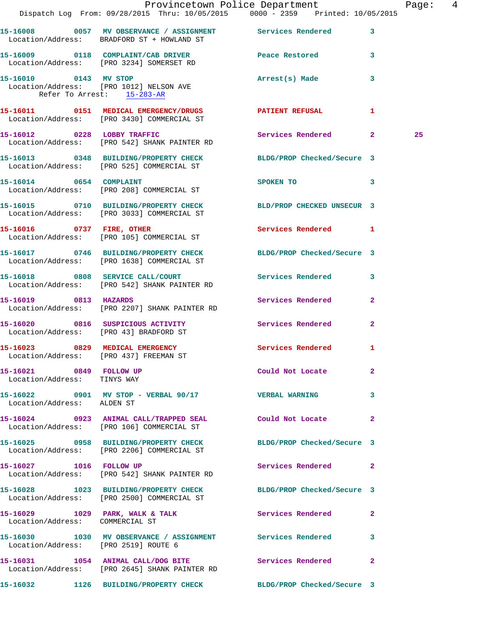|                                                        | Dispatch Log From: 09/28/2015 Thru: 10/05/2015 0000 - 2359 Printed: 10/05/2015                                 | Provincetown Police Department |              | Page: 4 |  |
|--------------------------------------------------------|----------------------------------------------------------------------------------------------------------------|--------------------------------|--------------|---------|--|
|                                                        | 15-16008 0057 MV OBSERVANCE / ASSIGNMENT Services Rendered 3<br>Location/Address: BRADFORD ST + HOWLAND ST     |                                |              |         |  |
|                                                        | 15-16009 0118 COMPLAINT/CAB DRIVER Peace Restored<br>Location/Address: [PRO 3234] SOMERSET RD                  |                                | 3            |         |  |
| Refer To Arrest: 15-283-AR                             | 15-16010 0143 MV STOP<br>Location/Address: [PRO 1012] NELSON AVE                                               | Arrest(s) Made                 | 3            |         |  |
|                                                        | 15-16011 0151 MEDICAL EMERGENCY/DRUGS PATIENT REFUSAL<br>Location/Address: [PRO 3430] COMMERCIAL ST            |                                | $\mathbf{1}$ |         |  |
|                                                        | 15-16012 0228 LOBBY TRAFFIC<br>Location/Address: [PRO 542] SHANK PAINTER RD                                    | Services Rendered 2            |              | 25      |  |
|                                                        | 15-16013 0348 BUILDING/PROPERTY CHECK BLDG/PROP Checked/Secure 3<br>Location/Address: [PRO 525] COMMERCIAL ST  |                                |              |         |  |
|                                                        | 15-16014 0654 COMPLAINT<br>Location/Address: [PRO 208] COMMERCIAL ST                                           | SPOKEN TO 3                    |              |         |  |
|                                                        | 15-16015 0710 BUILDING/PROPERTY CHECK BLD/PROP CHECKED UNSECUR 3<br>Location/Address: [PRO 3033] COMMERCIAL ST |                                |              |         |  |
|                                                        | 15-16016 0737 FIRE, OTHER<br>Location/Address: [PRO 105] COMMERCIAL ST                                         | Services Rendered 1            |              |         |  |
|                                                        | 15-16017 0746 BUILDING/PROPERTY CHECK BLDG/PROP Checked/Secure 3<br>Location/Address: [PRO 1638] COMMERCIAL ST |                                |              |         |  |
|                                                        | 15-16018 0808 SERVICE CALL/COURT<br>Location/Address: [PRO 542] SHANK PAINTER RD                               | Services Rendered 3            |              |         |  |
|                                                        | 15-16019 0813 HAZARDS<br>Location/Address: [PRO 2207] SHANK PAINTER RD                                         | Services Rendered              | $\mathbf{2}$ |         |  |
|                                                        | 15-16020 0816 SUSPICIOUS ACTIVITY Services Rendered<br>Location/Address: [PRO 43] BRADFORD ST                  |                                | $\mathbf{2}$ |         |  |
|                                                        | 15-16023 0829 MEDICAL EMERGENCY<br>Location/Address: [PRO 437] FREEMAN ST                                      | Services Rendered              | 1            |         |  |
| 15-16021 0849 FOLLOW UP<br>Location/Address: TINYS WAY |                                                                                                                | Could Not Locate               | $\mathbf{2}$ |         |  |
| Location/Address: ALDEN ST                             | 15-16022 0901 MV STOP - VERBAL 90/17 STORE VERBAL WARNING                                                      |                                | 3            |         |  |
|                                                        | 15-16024 0923 ANIMAL CALL/TRAPPED SEAL Could Not Locate 2<br>Location/Address: [PRO 106] COMMERCIAL ST         |                                |              |         |  |
|                                                        | 15-16025 0958 BUILDING/PROPERTY CHECK BLDG/PROP Checked/Secure 3<br>Location/Address: [PRO 2206] COMMERCIAL ST |                                |              |         |  |
| 15-16027 1016 FOLLOW UP                                | Location/Address: [PRO 542] SHANK PAINTER RD                                                                   | Services Rendered 2            |              |         |  |
|                                                        | 15-16028 1023 BUILDING/PROPERTY CHECK BLDG/PROP Checked/Secure 3<br>Location/Address: [PRO 2500] COMMERCIAL ST |                                |              |         |  |
| Location/Address: COMMERCIAL ST                        | 15-16029 1029 PARK, WALK & TALK 3 Services Rendered                                                            |                                | $\mathbf{2}$ |         |  |
| Location/Address: [PRO 2519] ROUTE 6                   | 15-16030 1030 MV OBSERVANCE / ASSIGNMENT Services Rendered 3                                                   |                                |              |         |  |
|                                                        | 15-16031 1054 ANIMAL CALL/DOG BITE Services Rendered<br>Location/Address: [PRO 2645] SHANK PAINTER RD          |                                | 2            |         |  |
|                                                        | 15-16032 1126 BUILDING/PROPERTY CHECK BLDG/PROP Checked/Secure 3                                               |                                |              |         |  |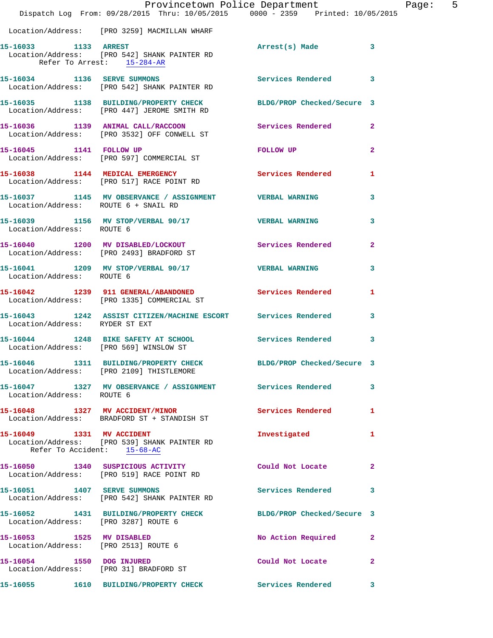|                                                                   | Provincetown Police Department<br>Dispatch Log From: 09/28/2015 Thru: 10/05/2015 0000 - 2359 Printed: 10/05/2015 |                            | Page: 5        |
|-------------------------------------------------------------------|------------------------------------------------------------------------------------------------------------------|----------------------------|----------------|
|                                                                   | Location/Address: [PRO 3259] MACMILLAN WHARF                                                                     |                            |                |
| 15-16033 1133 ARREST<br>Refer To Arrest: 15-284-AR                | Location/Address: [PRO 542] SHANK PAINTER RD                                                                     | Arrest(s) Made 3           |                |
|                                                                   | 15-16034 1136 SERVE SUMMONS<br>Location/Address: [PRO 542] SHANK PAINTER RD                                      | Services Rendered 3        |                |
|                                                                   | 15-16035 1138 BUILDING/PROPERTY CHECK BLDG/PROP Checked/Secure 3<br>Location/Address: [PRO 447] JEROME SMITH RD  |                            |                |
|                                                                   | 15-16036 1139 ANIMAL CALL/RACCOON Services Rendered 2<br>Location/Address: [PRO 3532] OFF CONWELL ST             |                            |                |
| 15-16045 1141 FOLLOW UP                                           | Location/Address: [PRO 597] COMMERCIAL ST                                                                        | FOLLOW UP                  | $\overline{2}$ |
|                                                                   | 15-16038 1144 MEDICAL EMERGENCY 1 Services Rendered 1<br>Location/Address: [PRO 517] RACE POINT RD               |                            |                |
| Location/Address: ROUTE 6 + SNAIL RD                              | 15-16037 1145 MV OBSERVANCE / ASSIGNMENT VERBAL WARNING                                                          |                            | 3              |
|                                                                   |                                                                                                                  |                            | 3              |
|                                                                   | 15-16040 1200 MV DISABLED/LOCKOUT<br>Location/Address: [PRO 2493] BRADFORD ST                                    | Services Rendered          | $\mathbf{2}$   |
| Location/Address: ROUTE 6                                         | 15-16041 1209 MV STOP/VERBAL 90/17 VERBAL WARNING                                                                |                            | $\mathbf{3}$   |
|                                                                   | 15-16042 1239 911 GENERAL/ABANDONED Services Rendered<br>Location/Address: [PRO 1335] COMMERCIAL ST              |                            | 1              |
| Location/Address: RYDER ST EXT                                    | 15-16043 1242 ASSIST CITIZEN/MACHINE ESCORT Services Rendered 3                                                  |                            |                |
| Location/Address: [PRO 569] WINSLOW ST                            | 15-16044 1248 BIKE SAFETY AT SCHOOL Services Rendered 3                                                          |                            |                |
|                                                                   | 15-16046 1311 BUILDING/PROPERTY CHECK<br>Location/Address: [PRO 2109] THISTLEMORE                                | BLDG/PROP Checked/Secure 3 |                |
| Location/Address: ROUTE 6                                         | 15-16047 1327 MV OBSERVANCE / ASSIGNMENT Services Rendered 3                                                     |                            |                |
|                                                                   | 15-16048 1327 MV ACCIDENT/MINOR<br>Location/Address: BRADFORD ST + STANDISH ST                                   | Services Rendered          | $\mathbf{1}$   |
| 15-16049 1331 MV ACCIDENT<br>Refer To Accident: 15-68-AC          | Location/Address: [PRO 539] SHANK PAINTER RD                                                                     | Investigated               | $\mathbf{1}$   |
|                                                                   | 15-16050 1340 SUSPICIOUS ACTIVITY<br>Location/Address: [PRO 519] RACE POINT RD                                   | Could Not Locate           | $\mathbf{2}$   |
|                                                                   | 15-16051 1407 SERVE SUMMONS<br>Location/Address: [PRO 542] SHANK PAINTER RD                                      | Services Rendered 3        |                |
| Location/Address: [PRO 3287] ROUTE 6                              | 15-16052 1431 BUILDING/PROPERTY CHECK BLDG/PROP Checked/Secure 3                                                 |                            |                |
| 15-16053 1525 MV DISABLED<br>Location/Address: [PRO 2513] ROUTE 6 |                                                                                                                  | No Action Required 2       |                |
| 15-16054 1550 DOG INJURED                                         | Location/Address: [PRO 31] BRADFORD ST                                                                           | Could Not Locate           | $\overline{2}$ |
|                                                                   | 15-16055                 1610     BUILDING/PROPERTY CHECK                       Services Rendered                |                            | 3              |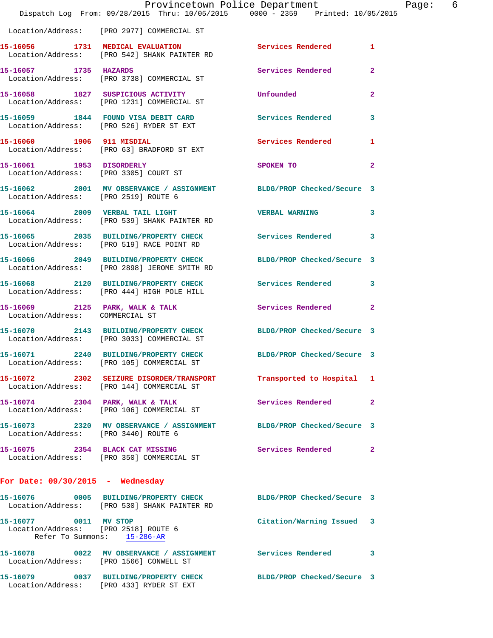|                                                               | Provincetown Police Department<br>Dispatch Log From: 09/28/2015 Thru: 10/05/2015 0000 - 2359 Printed: 10/05/2015 |                            |                |
|---------------------------------------------------------------|------------------------------------------------------------------------------------------------------------------|----------------------------|----------------|
|                                                               | Location/Address: [PRO 2977] COMMERCIAL ST                                                                       |                            |                |
|                                                               | 15-16056 1731 MEDICAL EVALUATION<br>Location/Address: [PRO 542] SHANK PAINTER RD                                 | <b>Services Rendered</b>   | 1              |
| 15-16057 1735 HAZARDS                                         | Location/Address: [PRO 3738] COMMERCIAL ST                                                                       | Services Rendered          | $\overline{a}$ |
|                                                               | 15-16058 1827 SUSPICIOUS ACTIVITY<br>Location/Address: [PRO 1231] COMMERCIAL ST                                  | Unfounded                  | $\mathbf{2}$   |
|                                                               | 15-16059 1844 FOUND VISA DEBIT CARD<br>Location/Address: [PRO 526] RYDER ST EXT                                  | Services Rendered          | 3              |
| 15-16060 1906 911 MISDIAL                                     | Location/Address: [PRO 63] BRADFORD ST EXT                                                                       | Services Rendered          | 1              |
|                                                               | 15-16061 1953 DISORDERLY<br>Location/Address: [PRO 3305] COURT ST                                                | SPOKEN TO                  | $\mathbf{2}$   |
| Location/Address: [PRO 2519] ROUTE 6                          | 15-16062 2001 MV OBSERVANCE / ASSIGNMENT BLDG/PROP Checked/Secure 3                                              |                            |                |
|                                                               | 15-16064 2009 VERBAL TAIL LIGHT<br>Location/Address: [PRO 539] SHANK PAINTER RD                                  | <b>VERBAL WARNING</b>      | 3              |
|                                                               | 15-16065 2035 BUILDING/PROPERTY CHECK<br>Location/Address: [PRO 519] RACE POINT RD                               | Services Rendered          | 3              |
|                                                               | 15-16066 2049 BUILDING/PROPERTY CHECK<br>Location/Address: [PRO 2898] JEROME SMITH RD                            | BLDG/PROP Checked/Secure 3 |                |
|                                                               | 15-16068 2120 BUILDING/PROPERTY CHECK Services Rendered<br>Location/Address: [PRO 444] HIGH POLE HILL            |                            | 3              |
| Location/Address: COMMERCIAL ST                               | 15-16069 2125 PARK, WALK & TALK                                                                                  | <b>Services Rendered</b>   | $\mathbf{2}$   |
|                                                               | 15-16070 2143 BUILDING/PROPERTY CHECK BLDG/PROP Checked/Secure 3<br>Location/Address: [PRO 3033] COMMERCIAL ST   |                            |                |
| 2240<br>15-16071                                              | <b>BUILDING/PROPERTY CHECK</b><br>Location/Address: [PRO 105] COMMERCIAL ST                                      | BLDG/PROP Checked/Secure 3 |                |
|                                                               | 15-16072 2302 SEIZURE DISORDER/TRANSPORT<br>Location/Address: [PRO 144] COMMERCIAL ST                            | Transported to Hospital    | 1              |
|                                                               | 15-16074 2304 PARK, WALK & TALK<br>Location/Address: [PRO 106] COMMERCIAL ST                                     | <b>Services Rendered</b>   | $\mathbf{2}$   |
| Location/Address: [PRO 3440] ROUTE 6                          | 15-16073 2320 MV OBSERVANCE / ASSIGNMENT                                                                         | BLDG/PROP Checked/Secure 3 |                |
| 15-16075 2354 BLACK CAT MISSING                               | Location/Address: [PRO 350] COMMERCIAL ST                                                                        | Services Rendered          | 2              |
| For Date: $09/30/2015$ - Wednesday                            |                                                                                                                  |                            |                |
|                                                               | 15-16076 0005 BUILDING/PROPERTY CHECK<br>Location/Address: [PRO 530] SHANK PAINTER RD                            | BLDG/PROP Checked/Secure 3 |                |
| 15-16077 0011 MV STOP<br>Location/Address: [PRO 2518] ROUTE 6 | Refer To Summons: 15-286-AR                                                                                      | Citation/Warning Issued    | 3              |
| Location/Address: [PRO 1566] CONWELL ST                       | 15-16078 0022 MV OBSERVANCE / ASSIGNMENT Services Rendered                                                       |                            | 3              |

**15-16079 0037 BUILDING/PROPERTY CHECK BLDG/PROP Checked/Secure 3**  Location/Address: [PRO 433] RYDER ST EXT

Page:  $6$ <br>15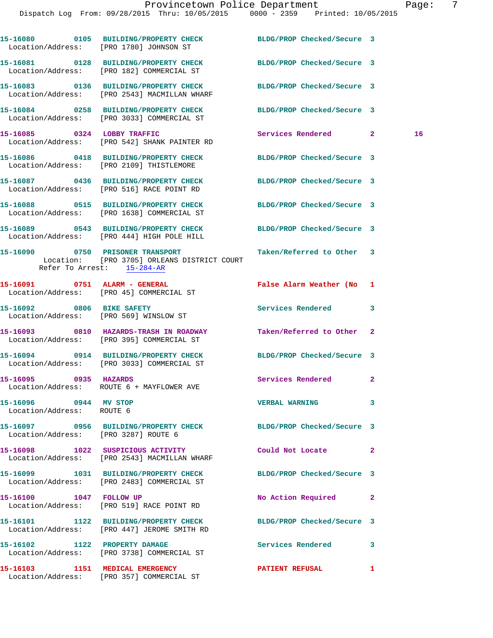|                                                    | 15-16080 0105 BUILDING/PROPERTY CHECK<br>Location/Address: [PRO 1780] JOHNSON ST                               | BLDG/PROP Checked/Secure 3 |              |
|----------------------------------------------------|----------------------------------------------------------------------------------------------------------------|----------------------------|--------------|
|                                                    | 15-16081 0128 BUILDING/PROPERTY CHECK<br>Location/Address: [PRO 182] COMMERCIAL ST                             | BLDG/PROP Checked/Secure 3 |              |
|                                                    | 15-16083 0136 BUILDING/PROPERTY CHECK<br>Location/Address: [PRO 2543] MACMILLAN WHARF                          | BLDG/PROP Checked/Secure 3 |              |
|                                                    | 15-16084 0258 BUILDING/PROPERTY CHECK<br>Location/Address: [PRO 3033] COMMERCIAL ST                            | BLDG/PROP Checked/Secure 3 |              |
|                                                    | 15-16085 0324 LOBBY TRAFFIC<br>Location/Address: [PRO 542] SHANK PAINTER RD                                    | Services Rendered 2        | 16           |
|                                                    | 15-16086 0418 BUILDING/PROPERTY CHECK<br>Location/Address: [PRO 2109] THISTLEMORE                              | BLDG/PROP Checked/Secure 3 |              |
|                                                    | 15-16087 0436 BUILDING/PROPERTY CHECK<br>Location/Address: [PRO 516] RACE POINT RD                             | BLDG/PROP Checked/Secure 3 |              |
|                                                    | 15-16088 0515 BUILDING/PROPERTY CHECK<br>Location/Address: [PRO 1638] COMMERCIAL ST                            | BLDG/PROP Checked/Secure 3 |              |
|                                                    | 15-16089 0543 BUILDING/PROPERTY CHECK BLDG/PROP Checked/Secure 3<br>Location/Address: [PRO 444] HIGH POLE HILL |                            |              |
| Refer To Arrest: 15-284-AR                         | 15-16090 0750 PRISONER TRANSPORT<br>Location: [PRO 3705] ORLEANS DISTRICT COURT                                | Taken/Referred to Other 3  |              |
|                                                    | 15-16091 0751 ALARM - GENERAL<br>Location/Address: [PRO 45] COMMERCIAL ST                                      | False Alarm Weather (No 1  |              |
|                                                    | 15-16092 0806 BIKE SAFETY<br>Location/Address: [PRO 569] WINSLOW ST                                            | Services Rendered          | 3            |
|                                                    | 15-16093 0810 HAZARDS-TRASH IN ROADWAY Taken/Referred to Other<br>Location/Address: [PRO 395] COMMERCIAL ST    |                            | 2            |
|                                                    | 15-16094 0914 BUILDING/PROPERTY CHECK<br>Location/Address: [PRO 3033] COMMERCIAL ST                            | BLDG/PROP Checked/Secure 3 |              |
| 15-16095 0935 HAZARDS                              | Location/Address: ROUTE 6 + MAYFLOWER AVE                                                                      | <b>Services Rendered</b>   | $\mathbf{2}$ |
| 15-16096 0944 MV STOP<br>Location/Address: ROUTE 6 |                                                                                                                | <b>VERBAL WARNING</b>      | 3            |
| Location/Address: [PRO 3287] ROUTE 6               | 15-16097 0956 BUILDING/PROPERTY CHECK BLDG/PROP Checked/Secure 3                                               |                            |              |
|                                                    | 15-16098 1022 SUSPICIOUS ACTIVITY<br>Location/Address: [PRO 2543] MACMILLAN WHARF                              | Could Not Locate           | 2            |
|                                                    | 15-16099 1031 BUILDING/PROPERTY CHECK<br>Location/Address: [PRO 2483] COMMERCIAL ST                            | BLDG/PROP Checked/Secure 3 |              |
| 15-16100 1047 FOLLOW UP                            | Location/Address: [PRO 519] RACE POINT RD                                                                      | No Action Required         | 2            |
|                                                    | 15-16101 1122 BUILDING/PROPERTY CHECK<br>Location/Address: [PRO 447] JEROME SMITH RD                           | BLDG/PROP Checked/Secure 3 |              |
| 15-16102 1122 PROPERTY DAMAGE                      | Location/Address: [PRO 3738] COMMERCIAL ST                                                                     | <b>Services Rendered</b>   | 3            |
|                                                    | 15-16103 1151 MEDICAL EMERGENCY<br>Location/Address: [PRO 357] COMMERCIAL ST                                   | <b>PATIENT REFUSAL</b>     | 1            |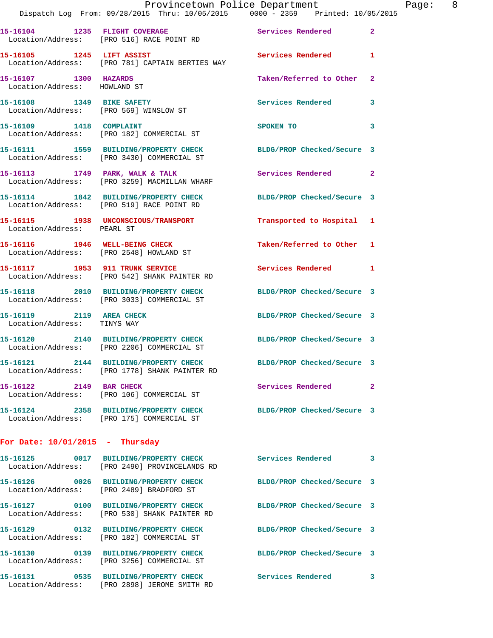|                                                         | Dispatch Log From: 09/28/2015 Thru: 10/05/2015 0000 - 2359 Printed: 10/05/2015<br>15-16104 1235 FLIGHT COVERAGE Services Rendered | Provincetown Police Department |              | Page: 8 |  |
|---------------------------------------------------------|-----------------------------------------------------------------------------------------------------------------------------------|--------------------------------|--------------|---------|--|
|                                                         | Location/Address: [PRO 516] RACE POINT RD                                                                                         |                                | $\mathbf{2}$ |         |  |
|                                                         | 15-16105 1245 LIFT ASSIST<br>Location/Address: [PRO 781] CAPTAIN BERTIES WAY                                                      | Services Rendered 1            |              |         |  |
| 15-16107 1300 HAZARDS<br>Location/Address: HOWLAND ST   |                                                                                                                                   | Taken/Referred to Other 2      |              |         |  |
|                                                         | 15-16108 1349 BIKE SAFETY<br>Location/Address: [PRO 569] WINSLOW ST                                                               | Services Rendered              | 3            |         |  |
|                                                         | 15-16109 1418 COMPLAINT<br>Location/Address: [PRO 182] COMMERCIAL ST                                                              | SPOKEN TO                      | 3            |         |  |
|                                                         | 15-16111 1559 BUILDING/PROPERTY CHECK BLDG/PROP Checked/Secure 3<br>Location/Address: [PRO 3430] COMMERCIAL ST                    |                                |              |         |  |
|                                                         | 15-16113 1749 PARK, WALK & TALK<br>Location/Address: [PRO 3259] MACMILLAN WHARF                                                   | Services Rendered 2            |              |         |  |
|                                                         | 15-16114 1842 BUILDING/PROPERTY CHECK BLDG/PROP Checked/Secure 3<br>Location/Address: [PRO 519] RACE POINT RD                     |                                |              |         |  |
| Location/Address: PEARL ST                              | 15-16115 1938 UNCONSCIOUS/TRANSPORT Transported to Hospital 1                                                                     |                                |              |         |  |
|                                                         | 15-16116 1946 WELL-BEING CHECK<br>Location/Address: [PRO 2548] HOWLAND ST                                                         | Taken/Referred to Other 1      |              |         |  |
|                                                         | 15-16117 1953 911 TRUNK SERVICE<br>Location/Address: [PRO 542] SHANK PAINTER RD                                                   | Services Rendered 1            |              |         |  |
|                                                         | 15-16118 2010 BUILDING/PROPERTY CHECK<br>Location/Address: [PRO 3033] COMMERCIAL ST                                               | BLDG/PROP Checked/Secure 3     |              |         |  |
| 15-16119 2119 AREA CHECK<br>Location/Address: TINYS WAY |                                                                                                                                   | BLDG/PROP Checked/Secure 3     |              |         |  |
|                                                         | 15-16120 2140 BUILDING/PROPERTY CHECK BLDG/PROP Checked/Secure 3<br>Location/Address: [PRO 2206] COMMERCIAL ST                    |                                |              |         |  |
| 15-16121                                                | 2144 BUILDING/PROPERTY CHECK<br>Location/Address: [PRO 1778] SHANK PAINTER RD                                                     | BLDG/PROP Checked/Secure 3     |              |         |  |
| 15-16122 2149 BAR CHECK                                 | Location/Address: [PRO 106] COMMERCIAL ST                                                                                         | Services Rendered              | $\mathbf{2}$ |         |  |
|                                                         | 15-16124 2358 BUILDING/PROPERTY CHECK<br>Location/Address: [PRO 175] COMMERCIAL ST                                                | BLDG/PROP Checked/Secure 3     |              |         |  |
| For Date: $10/01/2015$ - Thursday                       |                                                                                                                                   |                                |              |         |  |
|                                                         | 15-16125 0017 BUILDING/PROPERTY CHECK<br>Location/Address: [PRO 2490] PROVINCELANDS RD                                            | Services Rendered              | 3            |         |  |
|                                                         | 15-16126 0026 BUILDING/PROPERTY CHECK<br>Location/Address: [PRO 2489] BRADFORD ST                                                 | BLDG/PROP Checked/Secure 3     |              |         |  |
|                                                         | 15-16127 0100 BUILDING/PROPERTY CHECK<br>Location/Address: [PRO 530] SHANK PAINTER RD                                             | BLDG/PROP Checked/Secure 3     |              |         |  |
|                                                         | 15-16129 0132 BUILDING/PROPERTY CHECK<br>Location/Address: [PRO 182] COMMERCIAL ST                                                | BLDG/PROP Checked/Secure 3     |              |         |  |
|                                                         | 15-16130 0139 BUILDING/PROPERTY CHECK<br>Location/Address: [PRO 3256] COMMERCIAL ST                                               | BLDG/PROP Checked/Secure 3     |              |         |  |

**15-16131 0535 BUILDING/PROPERTY CHECK Services Rendered 3**  Location/Address: [PRO 2898] JEROME SMITH RD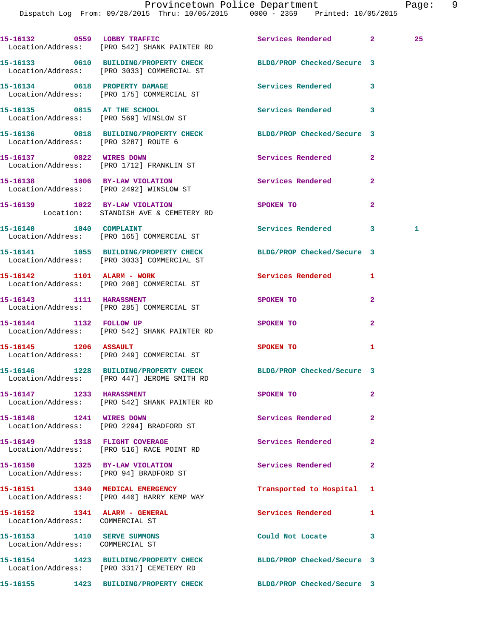Dispatch Log From: 09/28/2015 Thru: 10/05/2015 0000 - 2359 Printed: 10/05/2015

|                                                                        | 15-16132 0559 LOBBY TRAFFIC<br>Location/Address: [PRO 542] SHANK PAINTER RD                                     | Services Rendered 2        |              | 25 |
|------------------------------------------------------------------------|-----------------------------------------------------------------------------------------------------------------|----------------------------|--------------|----|
|                                                                        | 15-16133 0610 BUILDING/PROPERTY CHECK<br>Location/Address: [PRO 3033] COMMERCIAL ST                             | BLDG/PROP Checked/Secure 3 |              |    |
|                                                                        | 15-16134 0618 PROPERTY DAMAGE<br>Location/Address: [PRO 175] COMMERCIAL ST                                      | Services Rendered 3        |              |    |
|                                                                        | 15-16135 0815 AT THE SCHOOL<br>Location/Address: [PRO 569] WINSLOW ST                                           | <b>Services Rendered</b>   | 3            |    |
|                                                                        | 15-16136 0818 BUILDING/PROPERTY CHECK BLDG/PROP Checked/Secure 3<br>Location/Address: [PRO 3287] ROUTE 6        |                            |              |    |
|                                                                        | 15-16137 0822 WIRES DOWN<br>Location/Address: [PRO 1712] FRANKLIN ST                                            | Services Rendered          | $\mathbf{2}$ |    |
|                                                                        | 15-16138 1006 BY-LAW VIOLATION<br>Location/Address: [PRO 2492] WINSLOW ST                                       | Services Rendered          | $\mathbf{2}$ |    |
|                                                                        | 15-16139 1022 BY-LAW VIOLATION<br>Location: STANDISH AVE & CEMETERY RD                                          | <b>SPOKEN TO</b>           | $\mathbf{2}$ |    |
| 15-16140    1040    COMPLAINT                                          | Location/Address: [PRO 165] COMMERCIAL ST                                                                       | Services Rendered 3        |              | 1  |
|                                                                        | 15-16141 1055 BUILDING/PROPERTY CHECK<br>Location/Address: [PRO 3033] COMMERCIAL ST                             | BLDG/PROP Checked/Secure 3 |              |    |
|                                                                        | 15-16142 1101 ALARM - WORK<br>Location/Address: [PRO 208] COMMERCIAL ST                                         | Services Rendered          | 1            |    |
|                                                                        | 15-16143 1111 HARASSMENT<br>Location/Address: [PRO 285] COMMERCIAL ST                                           | <b>SPOKEN TO</b>           | $\mathbf{2}$ |    |
|                                                                        | 15-16144 1132 FOLLOW UP<br>Location/Address: [PRO 542] SHANK PAINTER RD                                         | SPOKEN TO                  | $\mathbf{2}$ |    |
| 15-16145    1206    ASSAULT                                            | Location/Address: [PRO 249] COMMERCIAL ST                                                                       | <b>SPOKEN TO</b>           | 1            |    |
|                                                                        | 15-16146 1228 BUILDING/PROPERTY CHECK BLDG/PROP Checked/Secure 3<br>Location/Address: [PRO 447] JEROME SMITH RD |                            |              |    |
| 15-16147 1233 HARASSMENT                                               | Location/Address: [PRO 542] SHANK PAINTER RD                                                                    | SPOKEN TO                  | $\mathbf{2}$ |    |
| 15-16148 1241 WIRES DOWN                                               | Location/Address: [PRO 2294] BRADFORD ST                                                                        | Services Rendered          | $\mathbf{2}$ |    |
|                                                                        | 15-16149 1318 FLIGHT COVERAGE<br>Location/Address: [PRO 516] RACE POINT RD                                      | Services Rendered          | $\mathbf{2}$ |    |
|                                                                        | 15-16150 1325 BY-LAW VIOLATION<br>Location/Address: [PRO 94] BRADFORD ST                                        | Services Rendered          | $\mathbf{2}$ |    |
|                                                                        | 15-16151 1340 MEDICAL EMERGENCY<br>Location/Address: [PRO 440] HARRY KEMP WAY                                   | Transported to Hospital    | 1            |    |
| 15-16152    1341    ALARM - GENERAL<br>Location/Address: COMMERCIAL ST |                                                                                                                 | Services Rendered          | 1            |    |
| 15-16153 1410 SERVE SUMMONS<br>Location/Address: COMMERCIAL ST         |                                                                                                                 | Could Not Locate 3         |              |    |
|                                                                        | 15-16154 1423 BUILDING/PROPERTY CHECK<br>Location/Address: [PRO 3317] CEMETERY RD                               | BLDG/PROP Checked/Secure 3 |              |    |
|                                                                        | 15-16155 1423 BUILDING/PROPERTY CHECK BLDG/PROP Checked/Secure 3                                                |                            |              |    |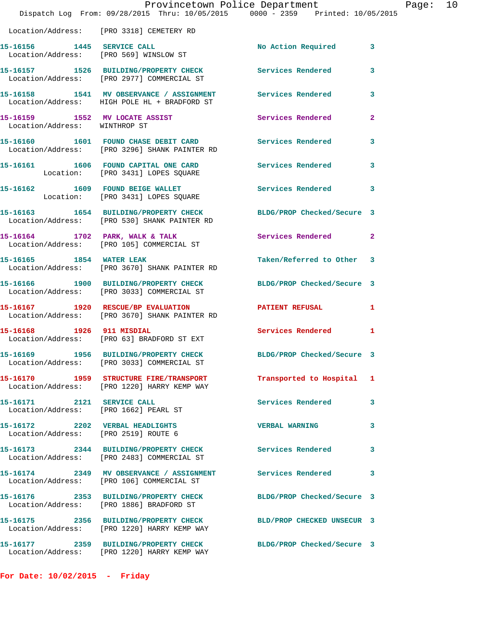|                                                                         | Provincetown Police Department<br>Dispatch Log From: 09/28/2015 Thru: 10/05/2015 0000 - 2359 Printed: 10/05/2015 |                            |                |
|-------------------------------------------------------------------------|------------------------------------------------------------------------------------------------------------------|----------------------------|----------------|
|                                                                         | Location/Address: [PRO 3318] CEMETERY RD                                                                         |                            |                |
|                                                                         | 15-16156 1445 SERVICE CALL<br>Location/Address: [PRO 569] WINSLOW ST                                             | No Action Required         | $\mathbf{3}$   |
|                                                                         | 15-16157 1526 BUILDING/PROPERTY CHECK<br>Location/Address: [PRO 2977] COMMERCIAL ST                              | Services Rendered          | 3              |
|                                                                         | 15-16158 1541 MV OBSERVANCE / ASSIGNMENT Services Rendered<br>Location/Address: HIGH POLE HL + BRADFORD ST       |                            | 3              |
| 15-16159 1552 MV LOCATE ASSIST<br>Location/Address: WINTHROP ST         |                                                                                                                  | Services Rendered          | $\mathbf{2}$   |
|                                                                         | 15-16160 1601 FOUND CHASE DEBIT CARD<br>Location/Address: [PRO 3296] SHANK PAINTER RD                            | <b>Services Rendered</b>   | 3              |
|                                                                         | 15-16161 1606 FOUND CAPITAL ONE CARD Services Rendered<br>Location: [PRO 3431] LOPES SQUARE                      |                            | 3              |
|                                                                         | 15-16162 1609 FOUND BEIGE WALLET<br>Location: [PRO 3431] LOPES SQUARE                                            | <b>Services Rendered</b>   | 3              |
|                                                                         | 15-16163 1654 BUILDING/PROPERTY CHECK<br>Location/Address: [PRO 530] SHANK PAINTER RD                            | BLDG/PROP Checked/Secure 3 |                |
|                                                                         | 15-16164 1702 PARK, WALK & TALK<br>Location/Address: [PRO 105] COMMERCIAL ST                                     | Services Rendered          | $\overline{a}$ |
| 15-16165 1854 WATER LEAK                                                | Location/Address: [PRO 3670] SHANK PAINTER RD                                                                    | Taken/Referred to Other    | 3              |
|                                                                         | 15-16166 1900 BUILDING/PROPERTY CHECK<br>Location/Address: [PRO 3033] COMMERCIAL ST                              | BLDG/PROP Checked/Secure 3 |                |
|                                                                         | 15-16167 1920 RESCUE/BP EVALUATION<br>Location/Address: [PRO 3670] SHANK PAINTER RD                              | <b>PATIENT REFUSAL</b>     | 1              |
| 15-16168 1926 911 MISDIAL                                               | Location/Address: [PRO 63] BRADFORD ST EXT                                                                       | Services Rendered          | $\mathbf{1}$   |
|                                                                         | 15-16169 1956 BUILDING/PROPERTY CHECK<br>Location/Address: [PRO 3033] COMMERCIAL ST                              | BLDG/PROP Checked/Secure 3 |                |
|                                                                         | 15-16170 1959 STRUCTURE FIRE/TRANSPORT<br>Location/Address: [PRO 1220] HARRY KEMP WAY                            | Transported to Hospital 1  |                |
| 15-16171 2121 SERVICE CALL                                              | Location/Address: [PRO 1662] PEARL ST                                                                            | Services Rendered          | 3              |
| 15-16172 2202 VERBAL HEADLIGHTS<br>Location/Address: [PRO 2519] ROUTE 6 |                                                                                                                  | <b>VERBAL WARNING</b>      | 3              |
|                                                                         | 15-16173 2344 BUILDING/PROPERTY CHECK<br>Location/Address: [PRO 2483] COMMERCIAL ST                              | <b>Services Rendered</b>   | 3              |
|                                                                         | 15-16174 2349 MV OBSERVANCE / ASSIGNMENT<br>Location/Address: [PRO 106] COMMERCIAL ST                            | Services Rendered          | 3              |
|                                                                         | 15-16176 2353 BUILDING/PROPERTY CHECK<br>Location/Address: [PRO 1886] BRADFORD ST                                | BLDG/PROP Checked/Secure 3 |                |
|                                                                         | 15-16175 2356 BUILDING/PROPERTY CHECK<br>Location/Address: [PRO 1220] HARRY KEMP WAY                             | BLD/PROP CHECKED UNSECUR 3 |                |
|                                                                         | 15-16177 2359 BUILDING/PROPERTY CHECK<br>Location/Address: [PRO 1220] HARRY KEMP WAY                             | BLDG/PROP Checked/Secure 3 |                |

Page: 10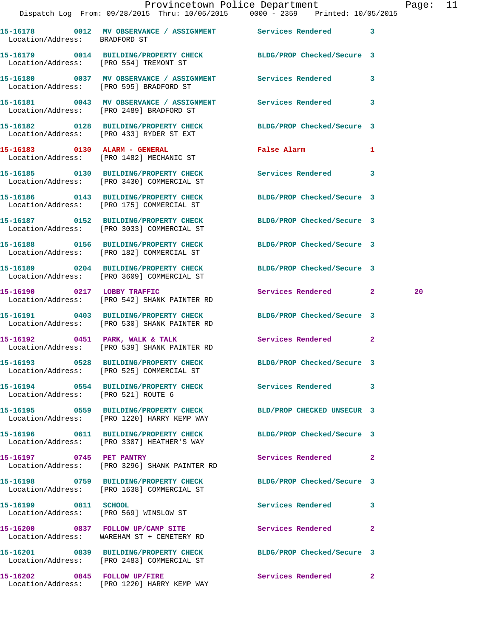|                                     |                                                                                     | Provincetown Police Department<br>Dispatch Log From: 09/28/2015 Thru: 10/05/2015 0000 - 2359 Printed: 10/05/2015 | Page: 11 |
|-------------------------------------|-------------------------------------------------------------------------------------|------------------------------------------------------------------------------------------------------------------|----------|
| Location/Address: BRADFORD ST       |                                                                                     | 15-16178 0012 MV OBSERVANCE / ASSIGNMENT Services Rendered 3                                                     |          |
|                                     | Location/Address: [PRO 554] TREMONT ST                                              | 15-16179 0014 BUILDING/PROPERTY CHECK BLDG/PROP Checked/Secure 3                                                 |          |
|                                     |                                                                                     | 15-16180 0037 MV OBSERVANCE / ASSIGNMENT Services Rendered 3<br>Location/Address: [PRO 595] BRADFORD ST          |          |
|                                     | Location/Address: [PRO 2489] BRADFORD ST                                            | 15-16181 0043 MV OBSERVANCE / ASSIGNMENT Services Rendered 3                                                     |          |
|                                     | Location/Address: [PRO 433] RYDER ST EXT                                            | 15-16182 0128 BUILDING/PROPERTY CHECK BLDG/PROP Checked/Secure 3                                                 |          |
|                                     | Location/Address: [PRO 1482] MECHANIC ST                                            | False Alarm <b>Example 2</b><br>$\mathbf{1}$                                                                     |          |
|                                     | Location/Address: [PRO 3430] COMMERCIAL ST                                          | 15-16185 0130 BUILDING/PROPERTY CHECK Services Rendered 3                                                        |          |
|                                     | Location/Address: [PRO 175] COMMERCIAL ST                                           | 15-16186 0143 BUILDING/PROPERTY CHECK BLDG/PROP Checked/Secure 3                                                 |          |
|                                     | Location/Address: [PRO 3033] COMMERCIAL ST                                          | 15-16187 0152 BUILDING/PROPERTY CHECK BLDG/PROP Checked/Secure 3                                                 |          |
|                                     | Location/Address: [PRO 182] COMMERCIAL ST                                           | 15-16188 0156 BUILDING/PROPERTY CHECK BLDG/PROP Checked/Secure 3                                                 |          |
|                                     | Location/Address: [PRO 3609] COMMERCIAL ST                                          | 15-16189 0204 BUILDING/PROPERTY CHECK BLDG/PROP Checked/Secure 3                                                 |          |
|                                     | 15-16190 0217 LOBBY TRAFFIC<br>Location/Address: [PRO 542] SHANK PAINTER RD         | Services Rendered 2                                                                                              | 20       |
|                                     | Location/Address: [PRO 530] SHANK PAINTER RD                                        | 15-16191 0403 BUILDING/PROPERTY CHECK BLDG/PROP Checked/Secure 3                                                 |          |
|                                     | 15-16192 0451 PARK, WALK & TALK<br>Location/Address: [PRO 539] SHANK PAINTER RD     | Services Rendered 2                                                                                              |          |
|                                     | Location/Address: [PRO 525] COMMERCIAL ST                                           | 15-16193 0528 BUILDING/PROPERTY CHECK BLDG/PROP Checked/Secure 3                                                 |          |
| Location/Address: [PRO 521] ROUTE 6 |                                                                                     | 15-16194 0554 BUILDING/PROPERTY CHECK Services Rendered 3                                                        |          |
|                                     | Location/Address: [PRO 1220] HARRY KEMP WAY                                         | 15-16195  0559 BUILDING/PROPERTY CHECK BLD/PROP CHECKED UNSECUR 3                                                |          |
|                                     | 15-16196 0611 BUILDING/PROPERTY CHECK<br>Location/Address: [PRO 3307] HEATHER'S WAY | BLDG/PROP Checked/Secure 3                                                                                       |          |
| 15-16197 0745 PET PANTRY            | Location/Address: [PRO 3296] SHANK PAINTER RD                                       | Services Rendered 2                                                                                              |          |
|                                     | 15-16198 0759 BUILDING/PROPERTY CHECK<br>Location/Address: [PRO 1638] COMMERCIAL ST | BLDG/PROP Checked/Secure 3                                                                                       |          |
| 15-16199 0811 SCHOOL                | Location/Address: [PRO 569] WINSLOW ST                                              | Services Rendered 3                                                                                              |          |
|                                     | 15-16200 0837 FOLLOW UP/CAMP SITE<br>Location/Address: WAREHAM ST + CEMETERY RD     | Services Rendered<br>$\mathbf{2}$                                                                                |          |
|                                     | Location/Address: [PRO 2483] COMMERCIAL ST                                          | 15-16201 0839 BUILDING/PROPERTY CHECK BLDG/PROP Checked/Secure 3                                                 |          |
|                                     | 15-16202 0845 FOLLOW UP/FIRE                                                        | <b>Services Rendered</b> 2                                                                                       |          |

Location/Address: [PRO 1220] HARRY KEMP WAY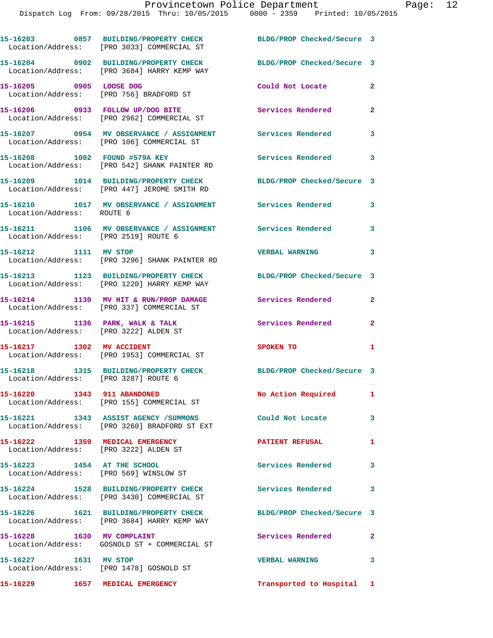|                                                                          | 15-16203 0857 BUILDING/PROPERTY CHECK<br>Location/Address: [PRO 3033] COMMERCIAL ST   | BLDG/PROP Checked/Secure 3 |                         |
|--------------------------------------------------------------------------|---------------------------------------------------------------------------------------|----------------------------|-------------------------|
|                                                                          | 15-16204 0902 BUILDING/PROPERTY CHECK<br>Location/Address: [PRO 3684] HARRY KEMP WAY  | BLDG/PROP Checked/Secure 3 |                         |
| 15-16205 0905 LOOSE DOG                                                  | Location/Address: [PRO 756] BRADFORD ST                                               | Could Not Locate           | $\mathbf{2}$            |
|                                                                          | 15-16206 0933 FOLLOW UP/DOG BITE<br>Location/Address: [PRO 2962] COMMERCIAL ST        | Services Rendered          | $\mathbf{2}$            |
|                                                                          | 15-16207 0954 MV OBSERVANCE / ASSIGNMENT<br>Location/Address: [PRO 106] COMMERCIAL ST | Services Rendered          | 3                       |
| 15-16208 1002 FOUND #579A KEY                                            | Location/Address: [PRO 542] SHANK PAINTER RD                                          | Services Rendered          | 3                       |
|                                                                          | 15-16209 1014 BUILDING/PROPERTY CHECK<br>Location/Address: [PRO 447] JEROME SMITH RD  | BLDG/PROP Checked/Secure 3 |                         |
| Location/Address: ROUTE 6                                                | 15-16210 1017 MV OBSERVANCE / ASSIGNMENT                                              | Services Rendered          | 3                       |
| Location/Address: [PRO 2519] ROUTE 6                                     | 15-16211 1106 MV OBSERVANCE / ASSIGNMENT Services Rendered                            |                            | 3                       |
| 15-16212 1111 MV STOP                                                    | Location/Address: [PRO 3296] SHANK PAINTER RD                                         | <b>VERBAL WARNING</b>      | 3                       |
|                                                                          | 15-16213 1123 BUILDING/PROPERTY CHECK<br>Location/Address: [PRO 1220] HARRY KEMP WAY  | BLDG/PROP Checked/Secure 3 |                         |
|                                                                          | 15-16214 1130 MV HIT & RUN/PROP DAMAGE<br>Location/Address: [PRO 337] COMMERCIAL ST   | Services Rendered          | $\mathbf{2}$            |
| 15-16215 1136 PARK, WALK & TALK<br>Location/Address: [PRO 3222] ALDEN ST |                                                                                       | Services Rendered          | $\mathbf{2}$            |
|                                                                          | 15-16217 1302 MV ACCIDENT<br>Location/Address: [PRO 1953] COMMERCIAL ST               | SPOKEN TO                  | 1                       |
| Location/Address: [PRO 3287] ROUTE 6                                     | 15-16218 1315 BUILDING/PROPERTY CHECK                                                 | BLDG/PROP Checked/Secure 3 |                         |
| 15-16220 1343 911 ABANDONED                                              | Location/Address: [PRO 155] COMMERCIAL ST                                             | No Action Required         | $\mathbf{1}$            |
|                                                                          | 15-16221 1343 ASSIST AGENCY / SUMMONS<br>Location/Address: [PRO 3260] BRADFORD ST EXT | Could Not Locate           | 3                       |
| 15-16222 1359 MEDICAL EMERGENCY<br>Location/Address: [PRO 3222] ALDEN ST |                                                                                       | <b>PATIENT REFUSAL</b>     | 1                       |
| 15-16223 1454 AT THE SCHOOL<br>Location/Address: [PRO 569] WINSLOW ST    |                                                                                       | <b>Services Rendered</b>   | 3                       |
|                                                                          | 15-16224 1528 BUILDING/PROPERTY CHECK<br>Location/Address: [PRO 3430] COMMERCIAL ST   | Services Rendered          | 3                       |
|                                                                          | 15-16226 1621 BUILDING/PROPERTY CHECK<br>Location/Address: [PRO 3684] HARRY KEMP WAY  | BLDG/PROP Checked/Secure 3 |                         |
|                                                                          | 15-16228 1630 MV COMPLAINT<br>Location/Address: GOSNOLD ST + COMMERCIAL ST            | Services Rendered          | $\mathbf{2}$            |
| 15-16227 1631 MV STOP                                                    | Location/Address: [PRO 1478] GOSNOLD ST                                               | <b>VERBAL WARNING</b>      | $\overline{\mathbf{3}}$ |
| 15-16229 1657 MEDICAL EMERGENCY                                          |                                                                                       | Transported to Hospital 1  |                         |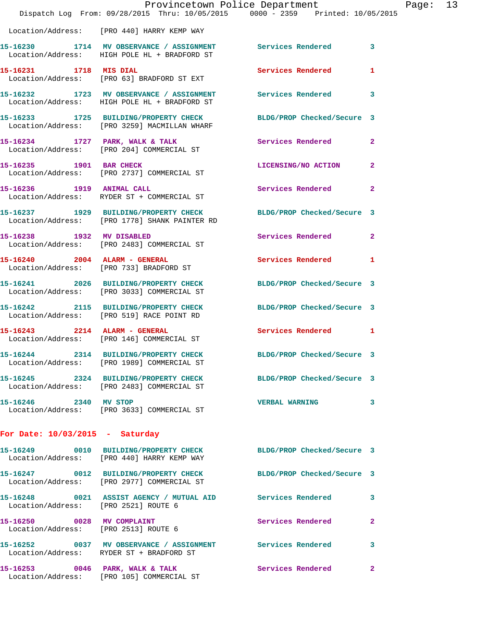|                                                                    |                                                                                                        | Provincetown Police Department                                                 |              |
|--------------------------------------------------------------------|--------------------------------------------------------------------------------------------------------|--------------------------------------------------------------------------------|--------------|
|                                                                    |                                                                                                        | Dispatch Log From: 09/28/2015 Thru: 10/05/2015 0000 - 2359 Printed: 10/05/2015 |              |
|                                                                    | Location/Address: [PRO 440] HARRY KEMP WAY                                                             |                                                                                |              |
|                                                                    | 15-16230 1714 MV OBSERVANCE / ASSIGNMENT<br>Location/Address: HIGH POLE HL + BRADFORD ST               | Services Rendered                                                              | 3            |
| 15-16231 1718 MIS DIAL                                             | Location/Address: [PRO 63] BRADFORD ST EXT                                                             | Services Rendered                                                              | 1            |
|                                                                    | Location/Address: HIGH POLE HL + BRADFORD ST                                                           | 15-16232 1723 MV OBSERVANCE / ASSIGNMENT Services Rendered                     | 3            |
|                                                                    | 15-16233 1725 BUILDING/PROPERTY CHECK<br>Location/Address: [PRO 3259] MACMILLAN WHARF                  | BLDG/PROP Checked/Secure 3                                                     |              |
|                                                                    | 15-16234 1727 PARK, WALK & TALK<br>Location/Address: [PRO 204] COMMERCIAL ST                           | Services Rendered                                                              | $\mathbf{2}$ |
| 15-16235 1901 BAR CHECK                                            | Location/Address: [PRO 2737] COMMERCIAL ST                                                             | LICENSING/NO ACTION                                                            | $\mathbf{2}$ |
| 15-16236 1919 ANIMAL CALL                                          | Location/Address: RYDER ST + COMMERCIAL ST                                                             | Services Rendered                                                              | $\mathbf{2}$ |
|                                                                    | 15-16237 1929 BUILDING/PROPERTY CHECK<br>Location/Address: [PRO 1778] SHANK PAINTER RD                 | BLDG/PROP Checked/Secure 3                                                     |              |
| 15-16238 1932 MV DISABLED                                          | Location/Address: [PRO 2483] COMMERCIAL ST                                                             | Services Rendered                                                              | $\mathbf{2}$ |
| 15-16240 2004 ALARM - GENERAL                                      | Location/Address: [PRO 733] BRADFORD ST                                                                | Services Rendered                                                              | 1            |
|                                                                    | 15-16241 2026 BUILDING/PROPERTY CHECK<br>Location/Address: [PRO 3033] COMMERCIAL ST                    | BLDG/PROP Checked/Secure 3                                                     |              |
|                                                                    | 15-16242 2115 BUILDING/PROPERTY CHECK<br>Location/Address: [PRO 519] RACE POINT RD                     | BLDG/PROP Checked/Secure 3                                                     |              |
| 15-16243 2214 ALARM - GENERAL                                      | Location/Address: [PRO 146] COMMERCIAL ST                                                              | <b>Services Rendered</b>                                                       | 1            |
|                                                                    | 15-16244 2314 BUILDING/PROPERTY CHECK<br>Location/Address: [PRO 1989] COMMERCIAL ST                    | BLDG/PROP Checked/Secure 3                                                     |              |
|                                                                    | Location/Address: [PRO 2483] COMMERCIAL ST                                                             | 15-16245 2324 BUILDING/PROPERTY CHECK BLDG/PROP Checked/Secure 3               |              |
| 15-16246 2340 MV STOP                                              | Location/Address: [PRO 3633] COMMERCIAL ST                                                             | <b>VERBAL WARNING</b>                                                          | 3            |
| For Date: $10/03/2015$ - Saturday                                  |                                                                                                        |                                                                                |              |
|                                                                    | 15-16249 0010 BUILDING/PROPERTY CHECK<br>Location/Address: [PRO 440] HARRY KEMP WAY                    | BLDG/PROP Checked/Secure 3                                                     |              |
|                                                                    | 15-16247 0012 BUILDING/PROPERTY CHECK<br>Location/Address: [PRO 2977] COMMERCIAL ST                    | BLDG/PROP Checked/Secure 3                                                     |              |
| Location/Address: [PRO 2521] ROUTE 6                               |                                                                                                        | 15-16248 0021 ASSIST AGENCY / MUTUAL AID Services Rendered                     | 3            |
| 15-16250 0028 MV COMPLAINT<br>Location/Address: [PRO 2513] ROUTE 6 |                                                                                                        | Services Rendered                                                              | 2            |
|                                                                    | 15-16252 0037 MV OBSERVANCE / ASSIGNMENT Services Rendered<br>Location/Address: RYDER ST + BRADFORD ST |                                                                                | 3            |
|                                                                    | 15-16253 0046 PARK, WALK & TALK<br>Location/Address: [PRO 105] COMMERCIAL ST                           | Services Rendered                                                              | 2            |

Page: 13<br>15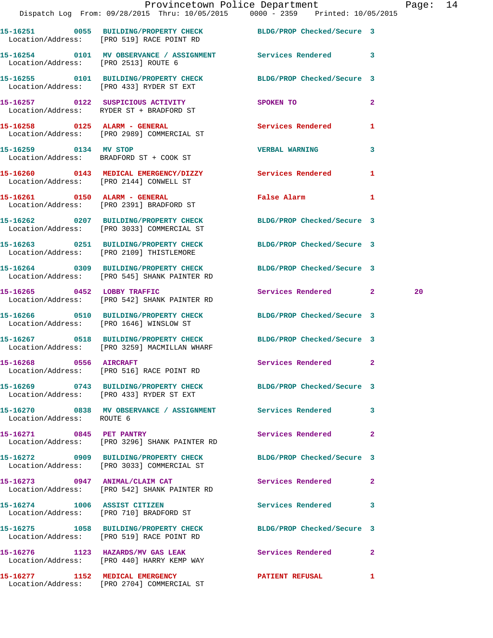|                                      | Provincetown Police Department Fage: 14<br>Dispatch Log From: 09/28/2015 Thru: 10/05/2015 0000 - 2359 Printed: 10/05/2015 |                            |              |    |  |
|--------------------------------------|---------------------------------------------------------------------------------------------------------------------------|----------------------------|--------------|----|--|
|                                      | 15-16251 0055 BUILDING/PROPERTY CHECK BLDG/PROP Checked/Secure 3<br>Location/Address: [PRO 519] RACE POINT RD             |                            |              |    |  |
| Location/Address: [PRO 2513] ROUTE 6 | 15-16254 0101 MV OBSERVANCE / ASSIGNMENT Services Rendered 3                                                              |                            |              |    |  |
|                                      | 15-16255 0101 BUILDING/PROPERTY CHECK BLDG/PROP Checked/Secure 3<br>Location/Address: [PRO 433] RYDER ST EXT              |                            |              |    |  |
|                                      | 15-16257 0122 SUSPICIOUS ACTIVITY<br>Location/Address: RYDER ST + BRADFORD ST                                             | SPOKEN TO                  | $\mathbf{2}$ |    |  |
|                                      | 15-16258 0125 ALARM - GENERAL<br>Location/Address: [PRO 2989] COMMERCIAL ST                                               | Services Rendered          | 1            |    |  |
| 15-16259 0134 MV STOP                | Location/Address: BRADFORD ST + COOK ST                                                                                   | <b>VERBAL WARNING</b>      | 3            |    |  |
|                                      | 15-16260 0143 MEDICAL EMERGENCY/DIZZY Services Rendered 1<br>Location/Address: [PRO 2144] CONWELL ST                      |                            |              |    |  |
|                                      | 15-16261 0150 ALARM - GENERAL<br>Location/Address: [PRO 2391] BRADFORD ST                                                 | <b>False Alarm</b>         | 1            |    |  |
|                                      | 15-16262 0207 BUILDING/PROPERTY CHECK BLDG/PROP Checked/Secure 3<br>Location/Address: [PRO 3033] COMMERCIAL ST            |                            |              |    |  |
|                                      | 15-16263 0251 BUILDING/PROPERTY CHECK BLDG/PROP Checked/Secure 3<br>Location/Address: [PRO 2109] THISTLEMORE              |                            |              |    |  |
|                                      | 15-16264 0309 BUILDING/PROPERTY CHECK BLDG/PROP Checked/Secure 3<br>Location/Address: [PRO 545] SHANK PAINTER RD          |                            |              |    |  |
|                                      | 15-16265 0452 LOBBY TRAFFIC<br>Location/Address: [PRO 542] SHANK PAINTER RD                                               | Services Rendered 2        |              | 20 |  |
|                                      | 15-16266 0510 BUILDING/PROPERTY CHECK BLDG/PROP Checked/Secure 3<br>Location/Address: [PRO 1646] WINSLOW ST               |                            |              |    |  |
|                                      | 15-16267 0518 BUILDING/PROPERTY CHECK BLDG/PROP Checked/Secure 3<br>Location/Address: [PRO 3259] MACMILLAN WHARF          |                            |              |    |  |
|                                      | 15-16268 0556 AIRCRAFT<br>Location/Address: [PRO 516] RACE POINT RD                                                       | Services Rendered 2        |              |    |  |
|                                      | 15-16269 0743 BUILDING/PROPERTY CHECK BLDG/PROP Checked/Secure 3<br>Location/Address: [PRO 433] RYDER ST EXT              |                            |              |    |  |
| Location/Address: ROUTE 6            | 15-16270      0838   MV OBSERVANCE / ASSIGNMENT       Services Rendered      3                                            |                            |              |    |  |
| 15-16271 0845 PET PANTRY             | Location/Address: [PRO 3296] SHANK PAINTER RD                                                                             | Services Rendered          | $\mathbf{2}$ |    |  |
|                                      | 15-16272 0909 BUILDING/PROPERTY CHECK BLDG/PROP Checked/Secure 3<br>Location/Address: [PRO 3033] COMMERCIAL ST            |                            |              |    |  |
|                                      | 15-16273 0947 ANIMAL/CLAIM CAT<br>Location/Address: [PRO 542] SHANK PAINTER RD                                            | <b>Services Rendered</b> 2 |              |    |  |
|                                      | 15-16274 1006 ASSIST CITIZEN<br>Location/Address: [PRO 710] BRADFORD ST                                                   | Services Rendered 3        |              |    |  |
|                                      | 15-16275 1058 BUILDING/PROPERTY CHECK BLDG/PROP Checked/Secure 3<br>Location/Address: [PRO 519] RACE POINT RD             |                            |              |    |  |
|                                      | 15-16276 1123 HAZARDS/MV GAS LEAK Services Rendered 2<br>Location/Address: [PRO 440] HARRY KEMP WAY                       |                            |              |    |  |

**15-16277 1152 MEDICAL EMERGENCY PATIENT REFUSAL 1** 

Location/Address: [PRO 2704] COMMERCIAL ST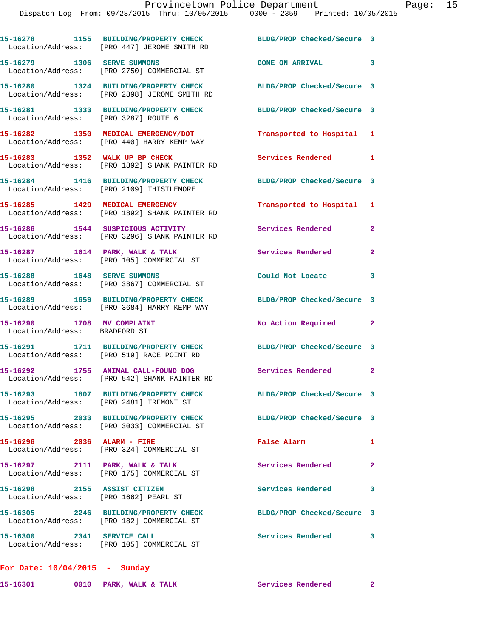|                                                                       | 15-16278 1155 BUILDING/PROPERTY CHECK<br>Location/Address: [PRO 447] JEROME SMITH RD  | BLDG/PROP Checked/Secure 3 |                |
|-----------------------------------------------------------------------|---------------------------------------------------------------------------------------|----------------------------|----------------|
| 15-16279 1306 SERVE SUMMONS                                           | Location/Address: [PRO 2750] COMMERCIAL ST                                            | GONE ON ARRIVAL 3          |                |
|                                                                       | 15-16280 1324 BUILDING/PROPERTY CHECK<br>Location/Address: [PRO 2898] JEROME SMITH RD | BLDG/PROP Checked/Secure 3 |                |
| Location/Address: [PRO 3287] ROUTE 6                                  | 15-16281 1333 BUILDING/PROPERTY CHECK                                                 | BLDG/PROP Checked/Secure 3 |                |
|                                                                       | 15-16282 1350 MEDICAL EMERGENCY/DOT<br>Location/Address: [PRO 440] HARRY KEMP WAY     | Transported to Hospital 1  |                |
| 15-16283 1352 WALK UP BP CHECK                                        | Location/Address: [PRO 1892] SHANK PAINTER RD                                         | Services Rendered 1        |                |
|                                                                       | 15-16284 1416 BUILDING/PROPERTY CHECK<br>Location/Address: [PRO 2109] THISTLEMORE     | BLDG/PROP Checked/Secure 3 |                |
| Location/Address:                                                     | 15-16285 1429 MEDICAL EMERGENCY<br>[PRO 1892] SHANK PAINTER RD                        | Transported to Hospital 1  |                |
|                                                                       | 15-16286 1544 SUSPICIOUS ACTIVITY<br>Location/Address: [PRO 3296] SHANK PAINTER RD    | <b>Services Rendered</b>   | $\mathbf{2}$   |
|                                                                       | 15-16287 1614 PARK, WALK & TALK<br>Location/Address: [PRO 105] COMMERCIAL ST          | Services Rendered          | $\overline{2}$ |
| 15-16288    1648    SERVE SUMMONS                                     | Location/Address: [PRO 3867] COMMERCIAL ST                                            | Could Not Locate           | 3              |
|                                                                       | 15-16289 1659 BUILDING/PROPERTY CHECK<br>Location/Address: [PRO 3684] HARRY KEMP WAY  | BLDG/PROP Checked/Secure 3 |                |
| 15-16290 1708 MV COMPLAINT<br>Location/Address: BRADFORD ST           |                                                                                       | No Action Required         | $\mathbf{2}$   |
|                                                                       | 15-16291 1711 BUILDING/PROPERTY CHECK<br>Location/Address: [PRO 519] RACE POINT RD    | BLDG/PROP Checked/Secure 3 |                |
|                                                                       | 15-16292 1755 ANIMAL CALL-FOUND DOG<br>Location/Address: [PRO 542] SHANK PAINTER RD   | Services Rendered          | $\mathbf{2}$   |
| Location/Address: [PRO 2481] TREMONT ST                               | 15-16293 1807 BUILDING/PROPERTY CHECK                                                 | BLDG/PROP Checked/Secure 3 |                |
|                                                                       | 15-16295 2033 BUILDING/PROPERTY CHECK<br>Location/Address: [PRO 3033] COMMERCIAL ST   | BLDG/PROP Checked/Secure 3 |                |
| 15-16296 2036 ALARM - FIRE                                            | Location/Address: [PRO 324] COMMERCIAL ST                                             | False Alarm                | 1              |
| 15-16297 2111 PARK, WALK & TALK                                       | Location/Address: [PRO 175] COMMERCIAL ST                                             | Services Rendered          | $\mathbf{2}$   |
| 15-16298 2155 ASSIST CITIZEN<br>Location/Address: [PRO 1662] PEARL ST |                                                                                       | Services Rendered          | 3              |
|                                                                       | 15-16305 2246 BUILDING/PROPERTY CHECK<br>Location/Address: [PRO 182] COMMERCIAL ST    | BLDG/PROP Checked/Secure 3 |                |
| 15-16300 2341 SERVICE CALL                                            | Location/Address: [PRO 105] COMMERCIAL ST                                             | <b>Services Rendered</b>   | 3              |
| For Date: $10/04/2015$ - Sunday                                       |                                                                                       |                            |                |

15-16301 0010 PARK, WALK & TALK **Services Rendered** 2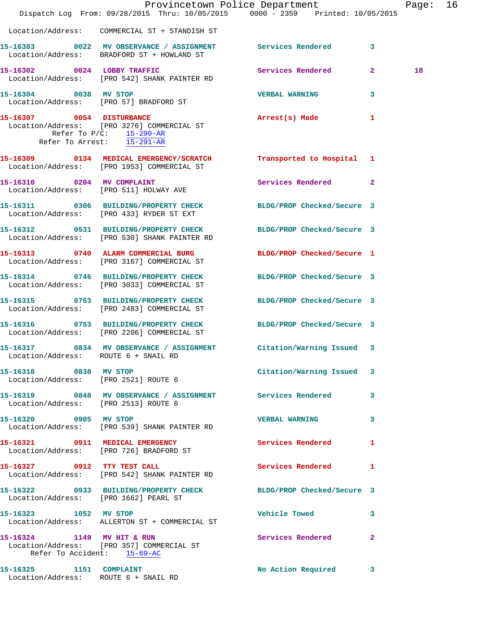|                                                                 | Dispatch Log From: 09/28/2015 Thru: 10/05/2015 0000 - 2359 Printed: 10/05/2015                                   | Provincetown Police Department |              | Page: 16 |  |
|-----------------------------------------------------------------|------------------------------------------------------------------------------------------------------------------|--------------------------------|--------------|----------|--|
|                                                                 | Location/Address: COMMERCIAL ST + STANDISH ST                                                                    |                                |              |          |  |
|                                                                 | 15-16303 0022 MV OBSERVANCE / ASSIGNMENT Services Rendered 3<br>Location/Address: BRADFORD ST + HOWLAND ST       |                                |              |          |  |
|                                                                 | 15-16302 0024 LOBBY TRAFFIC<br>Location/Address: [PRO 542] SHANK PAINTER RD                                      | Services Rendered 2            |              | 18       |  |
| 15-16304 0038 MV STOP                                           | Location/Address: [PRO 57] BRADFORD ST                                                                           | <b>VERBAL WARNING</b>          | 3            |          |  |
| Refer To Arrest: 15-291-AR                                      | 15-16307 0054 DISTURBANCE<br>Location/Address: [PRO 3276] COMMERCIAL ST<br>Refer To $P/C$ : 15-290-AR            | Arrest(s) Made                 | 1            |          |  |
|                                                                 | 15-16309 0134 MEDICAL EMERGENCY/SCRATCH Transported to Hospital 1<br>Location/Address: [PRO 1953] COMMERCIAL ST  |                                |              |          |  |
|                                                                 | 15-16310 0204 MV COMPLAINT<br>Location/Address: [PRO 511] HOLWAY AVE                                             | Services Rendered 2            |              |          |  |
|                                                                 | 15-16311 0306 BUILDING/PROPERTY CHECK BLDG/PROP Checked/Secure 3<br>Location/Address: [PRO 433] RYDER ST EXT     |                                |              |          |  |
|                                                                 | 15-16312 0531 BUILDING/PROPERTY CHECK BLDG/PROP Checked/Secure 3<br>Location/Address: [PRO 530] SHANK PAINTER RD |                                |              |          |  |
|                                                                 | 15-16313 0740 ALARM COMMERCIAL BURG<br>Location/Address: [PRO 3167] COMMERCIAL ST                                | BLDG/PROP Checked/Secure 1     |              |          |  |
|                                                                 | 15-16314 0746 BUILDING/PROPERTY CHECK BLDG/PROP Checked/Secure 3<br>Location/Address: [PRO 3033] COMMERCIAL ST   |                                |              |          |  |
|                                                                 | 15-16315 0753 BUILDING/PROPERTY CHECK<br>Location/Address: [PRO 2483] COMMERCIAL ST                              | BLDG/PROP Checked/Secure 3     |              |          |  |
|                                                                 | 15-16316 0753 BUILDING/PROPERTY CHECK BLDG/PROP Checked/Secure 3<br>Location/Address: [PRO 2206] COMMERCIAL ST   |                                |              |          |  |
| Location/Address: ROUTE 6 + SNAIL RD                            | 15-16317 0834 MV OBSERVANCE / ASSIGNMENT Citation/Warning Issued 3                                               |                                |              |          |  |
| 15-16318 0838 MV STOP                                           | Location/Address: [PRO 2521] ROUTE 6                                                                             | Citation/Warning Issued 3      |              |          |  |
| Location/Address: [PRO 2513] ROUTE 6                            | 15-16319 0848 MV OBSERVANCE / ASSIGNMENT Services Rendered                                                       |                                | $\mathbf{3}$ |          |  |
| 15-16320 0905 MV STOP                                           | Location/Address: [PRO 539] SHANK PAINTER RD                                                                     | VERBAL WARNING 3               |              |          |  |
|                                                                 | 15-16321 0911 MEDICAL EMERGENCY<br>Location/Address: [PRO 726] BRADFORD ST                                       | <b>Services Rendered</b>       | 1            |          |  |
|                                                                 | 15-16327 0912 TTY TEST CALL<br>Location/Address: [PRO 542] SHANK PAINTER RD                                      | Services Rendered 1            |              |          |  |
| Location/Address: [PRO 1662] PEARL ST                           | 15-16322 0933 BUILDING/PROPERTY CHECK BLDG/PROP Checked/Secure 3                                                 |                                |              |          |  |
| 15-16323 1052 MV STOP                                           | Location/Address: ALLERTON ST + COMMERCIAL ST                                                                    | <b>Vehicle Towed</b>           | 3            |          |  |
|                                                                 | 15-16324 1149 MV HIT & RUN<br>Location/Address: [PRO 357] COMMERCIAL ST<br>Refer To Accident: 15-69-AC           | Services Rendered              | $\mathbf{2}$ |          |  |
| 15-16325 1151 COMPLAINT<br>Location/Address: ROUTE 6 + SNAIL RD |                                                                                                                  | No Action Required             | 3            |          |  |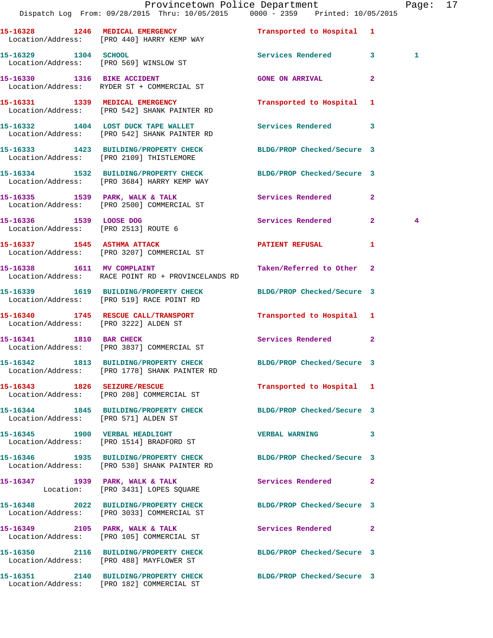|                                      | Provincetown Police Department<br>Dispatch Log From: 09/28/2015 Thru: 10/05/2015 0000 - 2359 Printed: 10/05/2015  |                            |              | Page: 17       |  |
|--------------------------------------|-------------------------------------------------------------------------------------------------------------------|----------------------------|--------------|----------------|--|
|                                      | 15-16328 1246 MEDICAL EMERGENCY<br>Location/Address: [PRO 440] HARRY KEMP WAY                                     | Transported to Hospital 1  |              |                |  |
|                                      | 15-16329 1304 SCHOOL<br>Location/Address: [PRO 569] WINSLOW ST                                                    | Services Rendered 3        |              | 1              |  |
|                                      | 15-16330 1316 BIKE ACCIDENT<br>Location/Address: RYDER ST + COMMERCIAL ST                                         | <b>GONE ON ARRIVAL</b>     | $\mathbf{2}$ |                |  |
|                                      | 15-16331 1339 MEDICAL EMERGENCY<br>Location/Address: [PRO 542] SHANK PAINTER RD                                   | Transported to Hospital 1  |              |                |  |
|                                      | 15-16332 1404 LOST DUCK TAPE WALLET<br>Location/Address: [PRO 542] SHANK PAINTER RD                               | Services Rendered 3        |              |                |  |
|                                      | 15-16333 1423 BUILDING/PROPERTY CHECK BLDG/PROP Checked/Secure 3<br>Location/Address: [PRO 2109] THISTLEMORE      |                            |              |                |  |
|                                      | 15-16334 1532 BUILDING/PROPERTY CHECK BLDG/PROP Checked/Secure 3<br>Location/Address: [PRO 3684] HARRY KEMP WAY   |                            |              |                |  |
|                                      | 15-16335 1539 PARK, WALK & TALK 1988 Services Rendered 2<br>Location/Address: [PRO 2500] COMMERCIAL ST            |                            |              |                |  |
| 15-16336 1539 LOOSE DOG              | Location/Address: [PRO 2513] ROUTE 6                                                                              | Services Rendered 2        |              | $\overline{4}$ |  |
|                                      | 15-16337 1545 ASTHMA ATTACK<br>Location/Address: [PRO 3207] COMMERCIAL ST                                         | PATIENT REFUSAL            | 1            |                |  |
|                                      | 15-16338 1611 MV COMPLAINT<br>Location/Address: RACE POINT RD + PROVINCELANDS RD                                  | Taken/Referred to Other 2  |              |                |  |
|                                      | 15-16339 1619 BUILDING/PROPERTY CHECK BLDG/PROP Checked/Secure 3<br>Location/Address: [PRO 519] RACE POINT RD     |                            |              |                |  |
|                                      | 15-16340 1745 RESCUE CALL/TRANSPORT Transported to Hospital 1<br>Location/Address: [PRO 3222] ALDEN ST            |                            |              |                |  |
|                                      | 15-16341 1810 BAR CHECK<br>Location/Address: [PRO 3837] COMMERCIAL ST                                             | Services Rendered 2        |              |                |  |
|                                      | 15-16342 1813 BUILDING/PROPERTY CHECK BLDG/PROP Checked/Secure 3<br>Location/Address: [PRO 1778] SHANK PAINTER RD |                            |              |                |  |
|                                      | 15-16343 1826 SEIZURE/RESCUE<br>Location/Address: [PRO 208] COMMERCIAL ST                                         | Transported to Hospital 1  |              |                |  |
| Location/Address: [PRO 571] ALDEN ST | 15-16344 1845 BUILDING/PROPERTY CHECK                                                                             | BLDG/PROP Checked/Secure 3 |              |                |  |
|                                      | 15-16345 1900 VERBAL HEADLIGHT<br>Location/Address: [PRO 1514] BRADFORD ST                                        | VERBAL WARNING 3           |              |                |  |
|                                      | 15-16346 1935 BUILDING/PROPERTY CHECK BLDG/PROP Checked/Secure 3<br>Location/Address: [PRO 530] SHANK PAINTER RD  |                            |              |                |  |
|                                      | 15-16347 1939 PARK, WALK & TALK<br>Location: [PRO 3431] LOPES SQUARE                                              | Services Rendered 2        |              |                |  |
|                                      | 15-16348 2022 BUILDING/PROPERTY CHECK BLDG/PROP Checked/Secure 3<br>Location/Address: [PRO 3033] COMMERCIAL ST    |                            |              |                |  |
|                                      | 15-16349 2105 PARK, WALK & TALK<br>Location/Address: [PRO 105] COMMERCIAL ST                                      | Services Rendered 2        |              |                |  |
|                                      | 15-16350 2116 BUILDING/PROPERTY CHECK BLDG/PROP Checked/Secure 3<br>Location/Address: [PRO 488] MAYFLOWER ST      |                            |              |                |  |
|                                      | 15-16351 2140 BUILDING/PROPERTY CHECK<br>Location/Address: [PRO 182] COMMERCIAL ST                                | BLDG/PROP Checked/Secure 3 |              |                |  |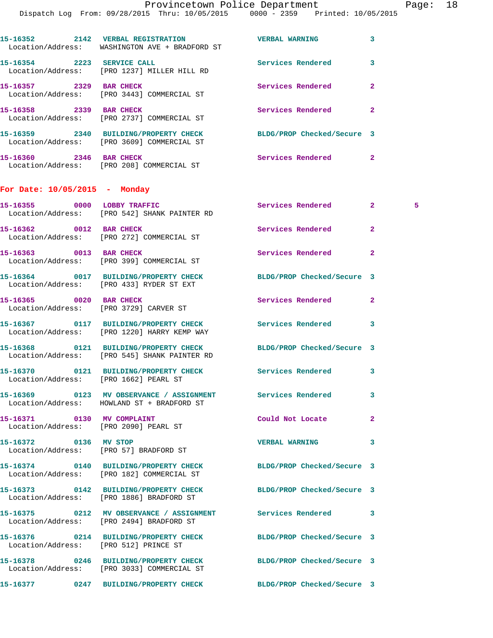Page: 18

|                                                                     | Dispatch Log From: 09/28/2015 Thru: 10/05/2015 0000 - 2359 Printed: 10/05/2015                                   | Provincetown Police Department | Pag                 |  |
|---------------------------------------------------------------------|------------------------------------------------------------------------------------------------------------------|--------------------------------|---------------------|--|
|                                                                     |                                                                                                                  |                                |                     |  |
|                                                                     | 15-16352 2142 VERBAL REGISTRATION WERBAL WARNING<br>Location/Address: WASHINGTON AVE + BRADFORD ST               |                                | 3                   |  |
|                                                                     | 15-16354 2223 SERVICE CALL Services Rendered<br>Location/Address: [PRO 1237] MILLER HILL RD                      |                                | 3                   |  |
| 15-16357 2329 BAR CHECK                                             | Location/Address: [PRO 3443] COMMERCIAL ST                                                                       | <b>Services Rendered</b>       | $\overline{2}$      |  |
|                                                                     | 15-16358 2339 BAR CHECK<br>Location/Address: [PRO 2737] COMMERCIAL ST                                            | Services Rendered              | $\mathbf{2}$        |  |
|                                                                     | 15-16359 2340 BUILDING/PROPERTY CHECK BLDG/PROP Checked/Secure 3<br>Location/Address: [PRO 3609] COMMERCIAL ST   |                                |                     |  |
|                                                                     | 15-16360 2346 BAR CHECK<br>Location/Address: [PRO 208] COMMERCIAL ST                                             | Services Rendered              | $\mathbf{2}$        |  |
| For Date: $10/05/2015$ - Monday                                     |                                                                                                                  |                                |                     |  |
|                                                                     | 15-16355 0000 LOBBY TRAFFIC<br>Location/Address: [PRO 542] SHANK PAINTER RD                                      | Services Rendered              | $2^{\circ}$<br>$-5$ |  |
| 15-16362 0012 BAR CHECK                                             | Location/Address: [PRO 272] COMMERCIAL ST                                                                        | Services Rendered              | $\mathbf{2}$        |  |
|                                                                     | 15-16363 0013 BAR CHECK<br>Location/Address: [PRO 399] COMMERCIAL ST                                             | Services Rendered              | $\mathbf{2}$        |  |
|                                                                     | 15-16364 0017 BUILDING/PROPERTY CHECK BLDG/PROP Checked/Secure 3<br>Location/Address: [PRO 433] RYDER ST EXT     |                                |                     |  |
| 15-16365 0020 BAR CHECK                                             | Location/Address: [PRO 3729] CARVER ST                                                                           | Services Rendered              | $\overline{2}$      |  |
|                                                                     | 15-16367 0117 BUILDING/PROPERTY CHECK Services Rendered<br>Location/Address: [PRO 1220] HARRY KEMP WAY           |                                | 3                   |  |
|                                                                     | 15-16368 0121 BUILDING/PROPERTY CHECK BLDG/PROP Checked/Secure 3<br>Location/Address: [PRO 545] SHANK PAINTER RD |                                |                     |  |
| Location/Address: [PRO 1662] PEARL ST                               |                                                                                                                  | Services Rendered              | 3                   |  |
|                                                                     | Location/Address: HOWLAND ST + BRADFORD ST                                                                       | <b>Services Rendered</b>       | 3                   |  |
| 15-16371 0130 MV COMPLAINT<br>Location/Address: [PRO 2090] PEARL ST |                                                                                                                  | Could Not Locate               | $\mathbf{2}$        |  |
| 15-16372 0136 MV STOP                                               | Location/Address: [PRO 57] BRADFORD ST                                                                           | <b>VERBAL WARNING</b>          | 3                   |  |

**15-16374 0140 BUILDING/PROPERTY CHECK BLDG/PROP Checked/Secure 3**  Location/Address: [PRO 182] COMMERCIAL ST

Location/Address: [PRO 1886] BRADFORD ST

Location/Address: [PRO 2494] BRADFORD ST

**15-16376 0214 BUILDING/PROPERTY CHECK BLDG/PROP Checked/Secure 3** 

**15-16373 0142 BUILDING/PROPERTY CHECK BLDG/PROP Checked/Secure 3** 

**15-16375 0212 MV OBSERVANCE / ASSIGNMENT Services Rendered 3** 

Location/Address: [PRO 512] PRINCE ST

**15-16378 0246 BUILDING/PROPERTY CHECK BLDG/PROP Checked/Secure 3**  Location/Address: [PRO 3033] COMMERCIAL ST

**15-16377 0247 BUILDING/PROPERTY CHECK BLDG/PROP Checked/Secure 3**